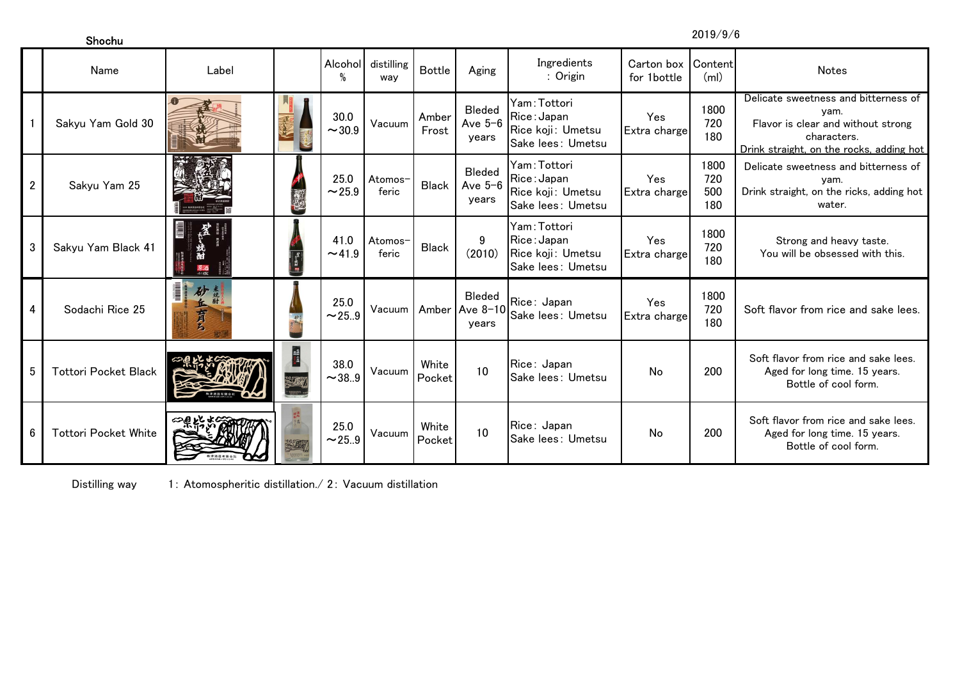Shochu

2019/9/6

|                | Name                        | Label             |     | Alcohol<br>%        | distilling<br>wav | <b>Bottle</b>   | Aging                                               | Ingredients<br>: Origin                                               | Carton box<br>for 1bottle  | Content<br>(m)            | Notes                                                                                                                                         |
|----------------|-----------------------------|-------------------|-----|---------------------|-------------------|-----------------|-----------------------------------------------------|-----------------------------------------------------------------------|----------------------------|---------------------------|-----------------------------------------------------------------------------------------------------------------------------------------------|
|                | Sakyu Yam Gold 30           |                   |     | 30.0<br>~1.30.9     | Vacuum            | Amber<br>Frost  | <b>Bleded</b><br>Ave $5-6$<br>years                 | Yam:Tottori<br>Rice: Japan<br>Rice koji: Umetsu<br>Sake lees: Umetsu  | Yes<br>Extra charge        | 1800<br>720<br>180        | Delicate sweetness and bitterness of<br>yam.<br>Flavor is clear and without strong<br>characters.<br>Drink straight, on the rocks, adding hot |
| $\overline{2}$ | Sakyu Yam 25                |                   | E   | 25.0<br>~25.9       | Atomos-<br>feric  | <b>Black</b>    | <b>Bleded</b><br>Ave $5-6$<br>years                 | Yam: Tottori<br>Rice:Japan<br>Rice koji: Umetsu<br>Sake lees: Umetsu  | Yes<br>Extra charge        | 1800<br>720<br>500<br>180 | Delicate sweetness and bitterness of<br>yam.<br>Drink straight, on the ricks, adding hot<br>water.                                            |
| 3              | Sakyu Yam Black 41          | 原酒                |     | 41.0<br>~1.9        | Atomos-<br>feric  | <b>Black</b>    | 9<br>(2010)                                         | Yam: Tottori<br>Rice: Japan<br>Rice koji: Umetsu<br>Sake lees: Umetsu | Yes<br>Extra charge        | 1800<br>720<br>180        | Strong and heavy taste.<br>You will be obsessed with this.                                                                                    |
| 4              | Sodachi Rice 25             | l<br>砂<br>幺<br>有名 |     | 25.0<br>$\sim$ 25.9 |                   |                 | <b>Bleded</b><br>Vacuum   Amber   Ave 8-10<br>vears | Rice: Japan<br>Sake lees: Umetsu                                      | <b>Yes</b><br>Extra charge | 1800<br>720<br>180        | Soft flavor from rice and sake lees.                                                                                                          |
| 5              | <b>Tottori Pocket Black</b> |                   | 義語を | 38.0<br>~1.9        | Vacuum            | White<br>Pocket | 10                                                  | Rice: Japan<br>Sake lees: Umetsu                                      | No                         | 200                       | Soft flavor from rice and sake lees.<br>Aged for long time. 15 years.<br>Bottle of cool form.                                                 |
| 6              | <b>Tottori Pocket White</b> |                   |     | 25.0<br>~25.9       | Vacuum            | White<br>Pocket | 10                                                  | Rice: Japan<br><b>Sake lees: Umetsu</b>                               | No                         | 200                       | Soft flavor from rice and sake lees.<br>Aged for long time. 15 years.<br>Bottle of cool form.                                                 |

Distilling way1: Atomospheritic distillation./ 2: Vacuum distillation